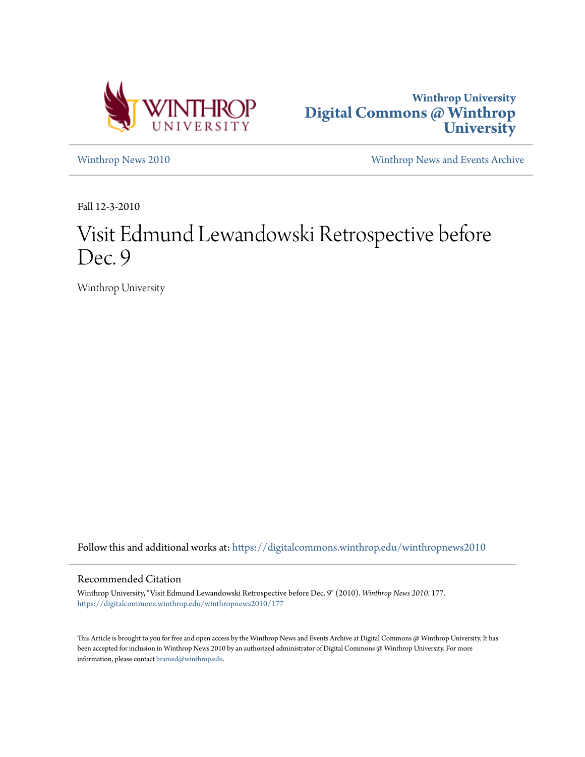



[Winthrop News 2010](https://digitalcommons.winthrop.edu/winthropnews2010?utm_source=digitalcommons.winthrop.edu%2Fwinthropnews2010%2F177&utm_medium=PDF&utm_campaign=PDFCoverPages) [Winthrop News and Events Archive](https://digitalcommons.winthrop.edu/winthropnewsarchives?utm_source=digitalcommons.winthrop.edu%2Fwinthropnews2010%2F177&utm_medium=PDF&utm_campaign=PDFCoverPages)

Fall 12-3-2010

# Visit Edmund Lewandowski Retrospective before Dec. 9

Winthrop University

Follow this and additional works at: [https://digitalcommons.winthrop.edu/winthropnews2010](https://digitalcommons.winthrop.edu/winthropnews2010?utm_source=digitalcommons.winthrop.edu%2Fwinthropnews2010%2F177&utm_medium=PDF&utm_campaign=PDFCoverPages)

### Recommended Citation

Winthrop University, "Visit Edmund Lewandowski Retrospective before Dec. 9" (2010). *Winthrop News 2010*. 177. [https://digitalcommons.winthrop.edu/winthropnews2010/177](https://digitalcommons.winthrop.edu/winthropnews2010/177?utm_source=digitalcommons.winthrop.edu%2Fwinthropnews2010%2F177&utm_medium=PDF&utm_campaign=PDFCoverPages)

This Article is brought to you for free and open access by the Winthrop News and Events Archive at Digital Commons @ Winthrop University. It has been accepted for inclusion in Winthrop News 2010 by an authorized administrator of Digital Commons @ Winthrop University. For more information, please contact [bramed@winthrop.edu](mailto:bramed@winthrop.edu).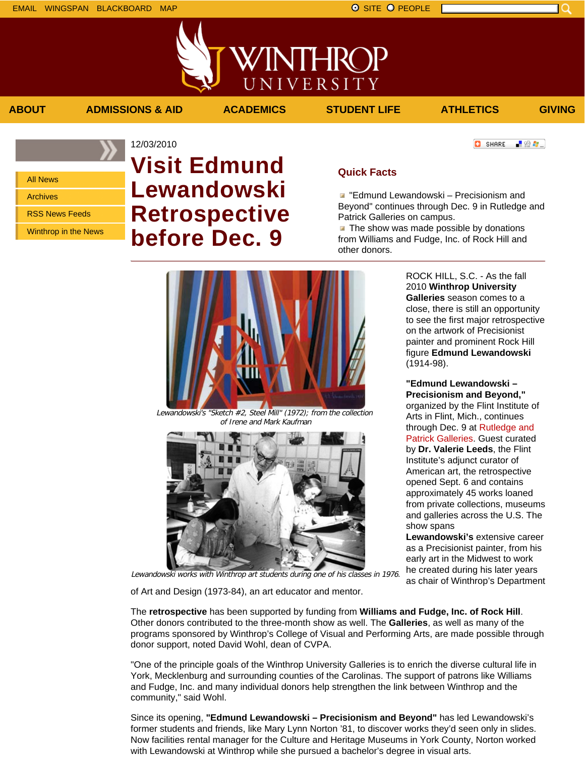「验費」

**O** SHARE



# 12/03/2010 **Visit Edmund Lewandowski Retrospective before Dec. 9**

## **Quick Facts**

**E** "Edmund Lewandowski – Precisionism and Beyond" continues through Dec. 9 in Rutledge and Patrick Galleries on campus.

The show was made possible by donations  $\mathcal{A}$ from Williams and Fudge, Inc. of Rock Hill and other donors.



**ABOUT ADMISSIONS & AID ACADEMICS STUDENT LIFE ATHLETICS GIVING**

NTHRC

UNIVERSITY

Lewandowski's "Sketch #2, Steel Mill" (1972); from the collection of Irene and Mark Kaufman



ROCK HILL, S.C. - As the fall 2010 **Winthrop University Galleries** season comes to a close, there is still an opportunity to see the first major retrospective on the artwork of Precisionist painter and prominent Rock Hill figure **Edmund Lewandowski** (1914-98).

**"Edmund Lewandowski – Precisionism and Beyond,"** organized by the Flint Institute of Arts in Flint, Mich., continues through Dec. 9 at Rutledge and Patrick Galleries. Guest curated by **Dr. Valerie Leeds**, the Flint Institute's adjunct curator of American art, the retrospective opened Sept. 6 and contains approximately 45 works loaned from private collections, museums and galleries across the U.S. The show spans

**Lewandowski's** extensive career as a Precisionist painter, from his early art in the Midwest to work he created during his later years as chair of Winthrop's Department

Lewandowski works with Winthrop art students during one of his classes in 1976.

of Art and Design (1973-84), an art educator and mentor.

The **retrospective** has been supported by funding from **Williams and Fudge, Inc. of Rock Hill**. Other donors contributed to the three-month show as well. The **Galleries**, as well as many of the programs sponsored by Winthrop's College of Visual and Performing Arts, are made possible through donor support, noted David Wohl, dean of CVPA.

"One of the principle goals of the Winthrop University Galleries is to enrich the diverse cultural life in York, Mecklenburg and surrounding counties of the Carolinas. The support of patrons like Williams and Fudge, Inc. and many individual donors help strengthen the link between Winthrop and the community," said Wohl.

Since its opening, **"Edmund Lewandowski – Precisionism and Beyond"** has led Lewandowski's former students and friends, like Mary Lynn Norton '81, to discover works they'd seen only in slides. Now facilities rental manager for the Culture and Heritage Museums in York County, Norton worked with Lewandowski at Winthrop while she pursued a bachelor's degree in visual arts.